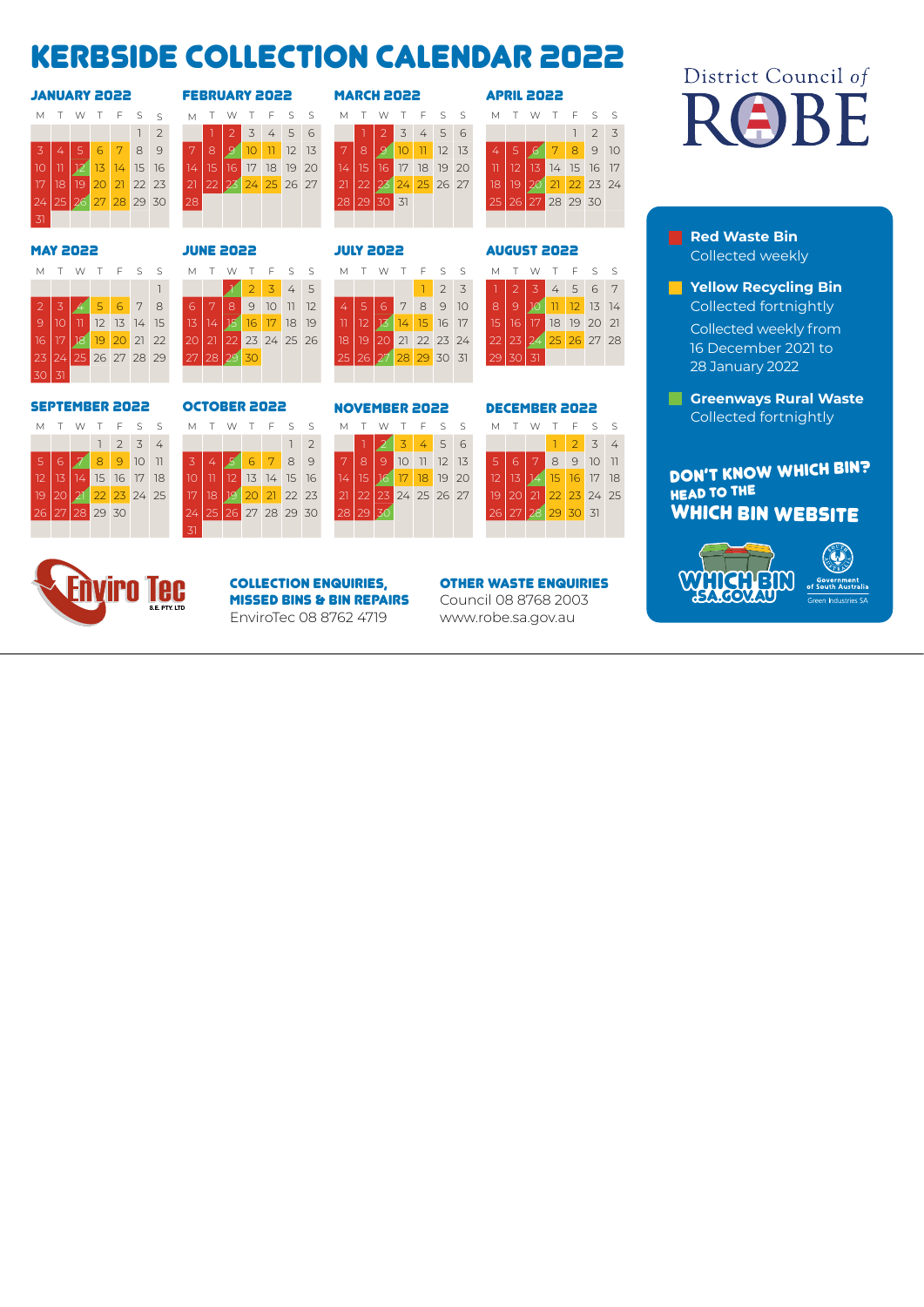## Kerbside collection calendar 2022

MAY 2022 JUNE 2022 JULY 2022 AUGUST 2022

23 24 25 26 27 28 29 27 28 29 30 25 26 27 28 29 30 31 29 30 31



| <b>FEBRUARY 2022</b> |                 |  |                      |  |  |  |  |  |  |
|----------------------|-----------------|--|----------------------|--|--|--|--|--|--|
| М                    | T.              |  | WTFSS                |  |  |  |  |  |  |
|                      |                 |  | 2 3 4 5 6            |  |  |  |  |  |  |
|                      | -8              |  | <b>9 10 11 12 13</b> |  |  |  |  |  |  |
| 14.                  | 15 <sup>°</sup> |  | 16 17 18 19 20       |  |  |  |  |  |  |
| 21                   |                 |  | 22 23 24 25 26 27    |  |  |  |  |  |  |
| 28                   |                 |  |                      |  |  |  |  |  |  |
|                      |                 |  |                      |  |  |  |  |  |  |

| <b>SSOS YAAUAAL</b> |    |    |    |               |             |                  |    |     |     | <b>FEBRUARY 2022</b> |                 |           |       |                      |    | <b>MARCH 2022</b> |     |                 |          |                 |    |       | <b>APRIL 2022</b> |                |       |          |                  |
|---------------------|----|----|----|---------------|-------------|------------------|----|-----|-----|----------------------|-----------------|-----------|-------|----------------------|----|-------------------|-----|-----------------|----------|-----------------|----|-------|-------------------|----------------|-------|----------|------------------|
| M                   |    |    |    |               | W T F S S   |                  |    | M T |     |                      |                 | W T F S S |       | $M$ T                |    |                   |     |                 |          | W T F S S       |    | M T W |                   |                |       | T F S S  |                  |
|                     |    |    |    |               |             | $1 \overline{2}$ |    |     |     | 3                    |                 | 456       |       |                      |    |                   | 3   |                 | 456      |                 |    |       |                   |                |       |          | $2 \overline{3}$ |
| $-3$                |    |    | 6  | 7             | 8           | $\circ$          | 7  | 8   |     | 10                   | $\overline{11}$ | 12        | 13    | $\blacktriangledown$ | 8  |                   | 10  | $\overline{11}$ | 12       | 13 <sup>7</sup> | 4  |       | $\alpha$          | 7              | 8     |          | 9 10             |
| 10 <sub>1</sub>     |    |    |    | $\frac{1}{4}$ | 15          | 16               | 14 | 15  | 16' | 17                   | 18              |           | 19 20 | 14.                  | 15 | 16.               | 17  |                 | 18 19    | 20              |    |       |                   |                | 14 15 | 16 17    |                  |
| 17                  | 18 | 19 | 20 | 21            | 22 23       |                  | 21 |     | 23  | 24                   | 25              | 26 27     |       |                      |    |                   | 24' |                 | 25 26 27 |                 | 18 | 19    | 20                | $\overline{2}$ |       | 22 23 24 |                  |
| 24                  | 25 | 26 |    |               | 27 28 29 30 |                  | 28 |     |     |                      |                 |           |       | 28 I                 | 29 | 30                | 31  |                 |          |                 | 25 | 26 I  | 27                |                |       | 28 29 30 |                  |
| $-31$               |    |    |    |               |             |                  |    |     |     |                      |                 |           |       |                      |    |                   |     |                 |          |                 |    |       |                   |                |       |          |                  |

|    |       | T W             |                | T F S S        |    |
|----|-------|-----------------|----------------|----------------|----|
|    |       |                 |                | $\overline{2}$ | 3  |
|    | $5 -$ |                 | 78             | 9              | 10 |
|    | 12    | $\overline{13}$ |                | 14 15 16 17    |    |
| 18 |       |                 |                | 0 21 22 23 24  |    |
| 25 |       |                 | 26 27 28 29 30 |                |    |
|    |       |                 |                |                |    |

## District Council of ROBE

**Red Waste Bin** Collected weekly

**Yellow Recycling Bin**  Collected fortnightly Collected weekly from 16 December 2021 to 28 January 2022

**Greenways Rural Waste**  Collected fortnightly

### DON'T KNOW WHICH BIN? HEAD TO THE WHICH BIN WEBSITE



| <b>Government</b><br>of South Australia |
|-----------------------------------------|
| .                                       |

|  |  |  |                      | MTWTFSS                                   |  |  |  |  |  |  | MTWTFSSMT                       |  |                      |  | T W T F S S |  |
|--|--|--|----------------------|-------------------------------------------|--|--|--|--|--|--|---------------------------------|--|----------------------|--|-------------|--|
|  |  |  |                      |                                           |  |  |  |  |  |  | 1 1 2 3 4 5 1 2 3 1 2 3 4 5 6 7 |  |                      |  |             |  |
|  |  |  | 2 3 4 5 6 7 8        |                                           |  |  |  |  |  |  | 678901124567891089101121314     |  |                      |  |             |  |
|  |  |  | 12 13 14 15          | 13 14 15 16 17 18 19 11 12 13 14 15 16 17 |  |  |  |  |  |  |                                 |  | 15 16 17 18 19 20 21 |  |             |  |
|  |  |  | 16 17 18 19 20 21 22 | 20 21 22 23 24 25 26 18 19 20 21 22 23 24 |  |  |  |  |  |  |                                 |  | 22 23 24 25 26 27 28 |  |             |  |

30 31



#### SEPTEMBER 2022 OCTOBER 2022 NOVEMBER 2022 DECEMBER 2022





|  |                |  | M T W T F S S        | MTWTFSS MTWTFSS MTWTFSS |                      |  |  |                |  |          |  |                      |  |  |  |                      |  |
|--|----------------|--|----------------------|-------------------------|----------------------|--|--|----------------|--|----------|--|----------------------|--|--|--|----------------------|--|
|  |                |  | 1234                 |                         |                      |  |  |                |  |          |  | 1 2 3 4 5 6          |  |  |  | 1 2 3 4              |  |
|  |                |  |                      | $5678901$ $3456789$     |                      |  |  |                |  |          |  |                      |  |  |  | 78910112135567891011 |  |
|  |                |  | 12 13 14 15 16 17 18 |                         |                      |  |  | 12 13 14 15 16 |  |          |  | 14 15 16 17 18 19 20 |  |  |  | 12 13 14 15 16 17 18 |  |
|  |                |  | 19 20 21 22 23 24 25 |                         | 17 18 19 20 21 22 23 |  |  |                |  |          |  | 21 22 23 24 25 26 27 |  |  |  | 19 20 21 22 23 24 25 |  |
|  | 26 27 28 29 30 |  |                      | 24 25 26 27 28 29 30    |                      |  |  |                |  | 28 29 30 |  |                      |  |  |  | 26 27 28 29 30 31    |  |
|  |                |  |                      |                         |                      |  |  |                |  |          |  |                      |  |  |  |                      |  |

#### COLLECTION ENQUIRIES, MISSED BINS & BIN REPAIRS EnviroTec 08 8762 4719

#### OTHER WASTE ENQUIRIES

Council 08 8768 2003 www.robe.sa.gov.au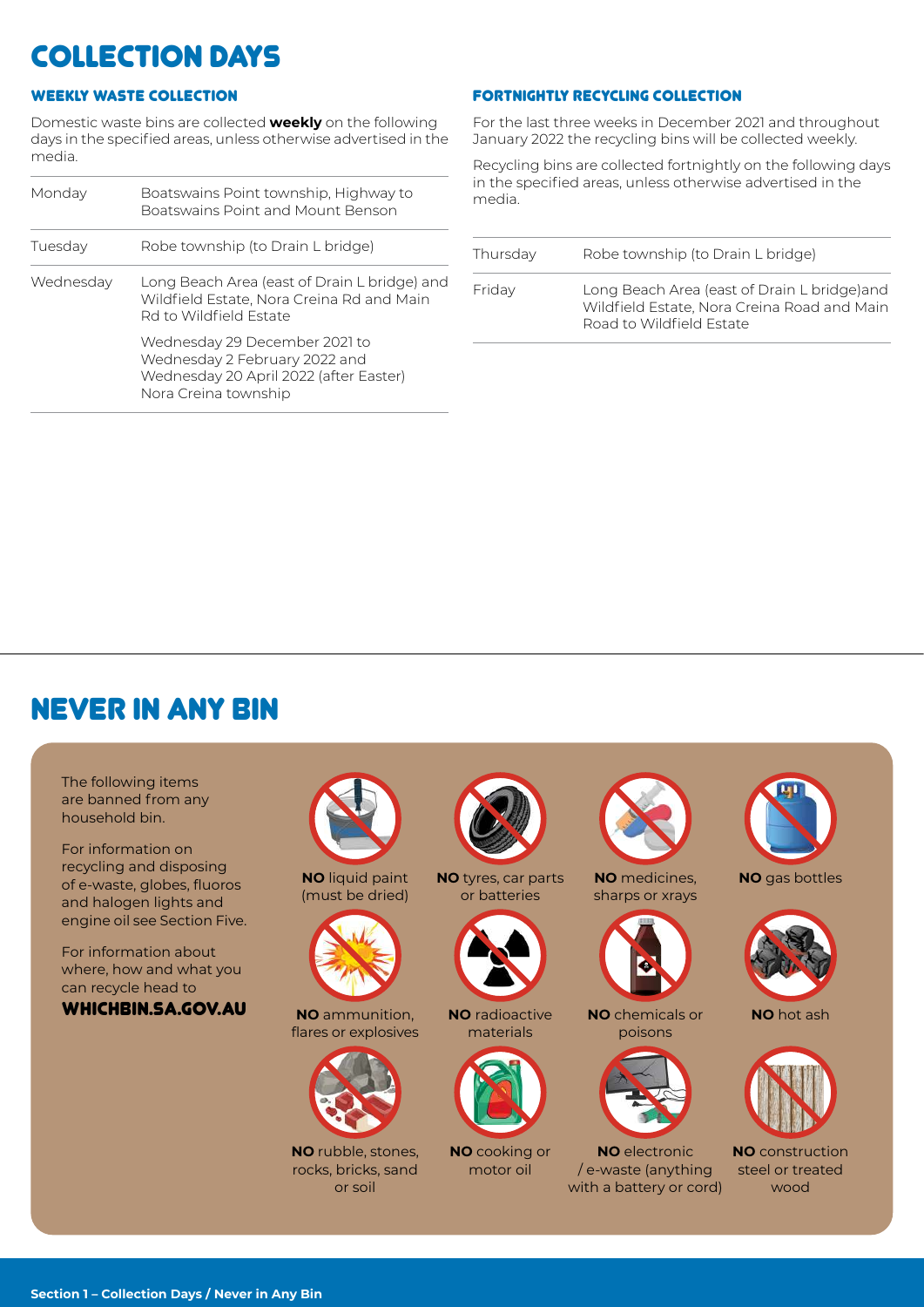## collection Days

### WEEKLY WASTE COLLECTION

Domestic waste bins are collected **weekly** on the following days in the specified areas, unless otherwise advertised in the media.

| Monday    | Boatswains Point township, Highway to<br>Boatswains Point and Mount Benson                                                       |
|-----------|----------------------------------------------------------------------------------------------------------------------------------|
| Tuesday   | Robe township (to Drain L bridge)                                                                                                |
| Wednesday | Long Beach Area (east of Drain L bridge) and<br>Wildfield Estate, Nora Creina Rd and Main<br>Rd to Wildfield Estate              |
|           | Wednesday 29 December 2021 to<br>Wednesday 2 February 2022 and<br>Wednesday 20 April 2022 (after Easter)<br>Nora Creina township |

#### FORTNIGHTLY RECYCLING COLLECTION

For the last three weeks in December 2021 and throughout January 2022 the recycling bins will be collected weekly.

Recycling bins are collected fortnightly on the following days in the specified areas, unless otherwise advertised in the media.

| Thursday | Robe township (to Drain L bridge)                                                                                       |
|----------|-------------------------------------------------------------------------------------------------------------------------|
| Friday   | Long Beach Area (east of Drain L bridge) and<br>Wildfield Estate, Nora Creina Road and Main<br>Road to Wildfield Estate |

## never in any bin

The following items are banned from any household bin. For information on recycling and disposing of e-waste, globes, fluoros and halogen lights and engine oil see Section Five. For information about where, how and what you can recycle head to WHICHBIN.SA.GOV.AU



**NO** ammunition, flares or explosives



**NO** rubble, stones, rocks, bricks, sand or soil







**NO** radioactive materials



**NO** cooking or motor oil



**NO** medicines, sharps or xrays



**NO** chemicals or poisons



**NO** electronic / e-waste (anything with a battery or cord)



**NO** gas bottles



**NO** hot ash



**NO** construction steel or treated wood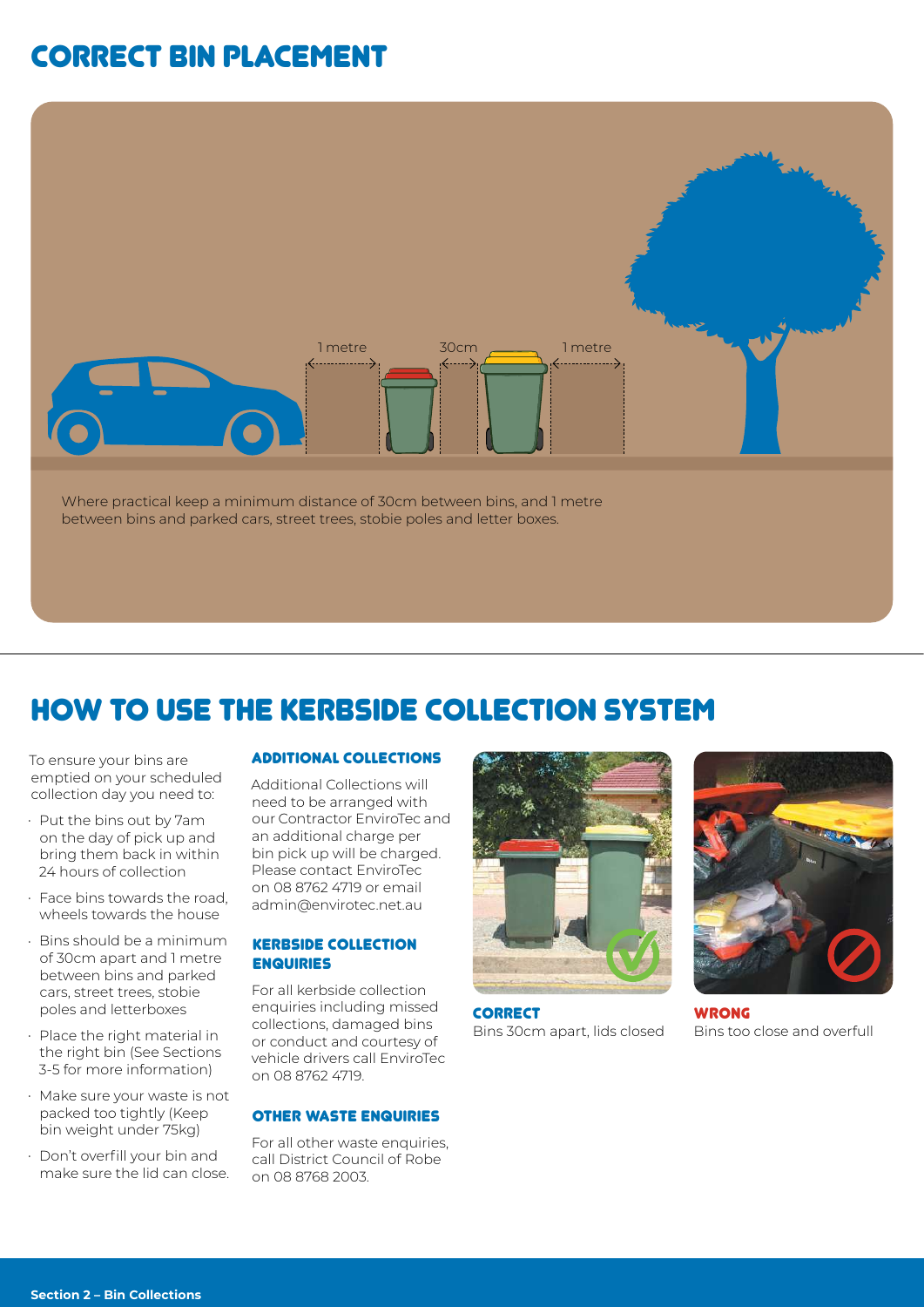## correct bin placement



## How to use the kerbside collection system

To ensure your bins are emptied on your scheduled collection day you need to:

- Put the bins out by 7am on the day of pick up and bring them back in within 24 hours of collection
- Face bins towards the road, wheels towards the house
- Bins should be a minimum of 30cm apart and 1 metre between bins and parked cars, street trees, stobie poles and letterboxes
- Place the right material in the right bin (See Sections 3-5 for more information)
- Make sure your waste is not packed too tightly (Keep bin weight under 75kg)
- Don't overfill your bin and make sure the lid can close.

#### ADDITIONAL COLLECTIONS

Additional Collections will need to be arranged with our Contractor EnviroTec and an additional charge per bin pick up will be charged. Please contact EnviroTec on 08 8762 4719 or email admin@envirotec.net.au

#### KERBSIDE COLLECTION ENQUIRIES

For all kerbside collection enquiries including missed collections, damaged bins or conduct and courtesy of vehicle drivers call EnviroTec on 08 8762 4719.

#### OTHER WASTE ENQUIRIES

For all other waste enquiries. call District Council of Robe on 08 8768 2003.



**CORRECT** Bins 30cm apart, lids closed



WRONG Bins too close and overfull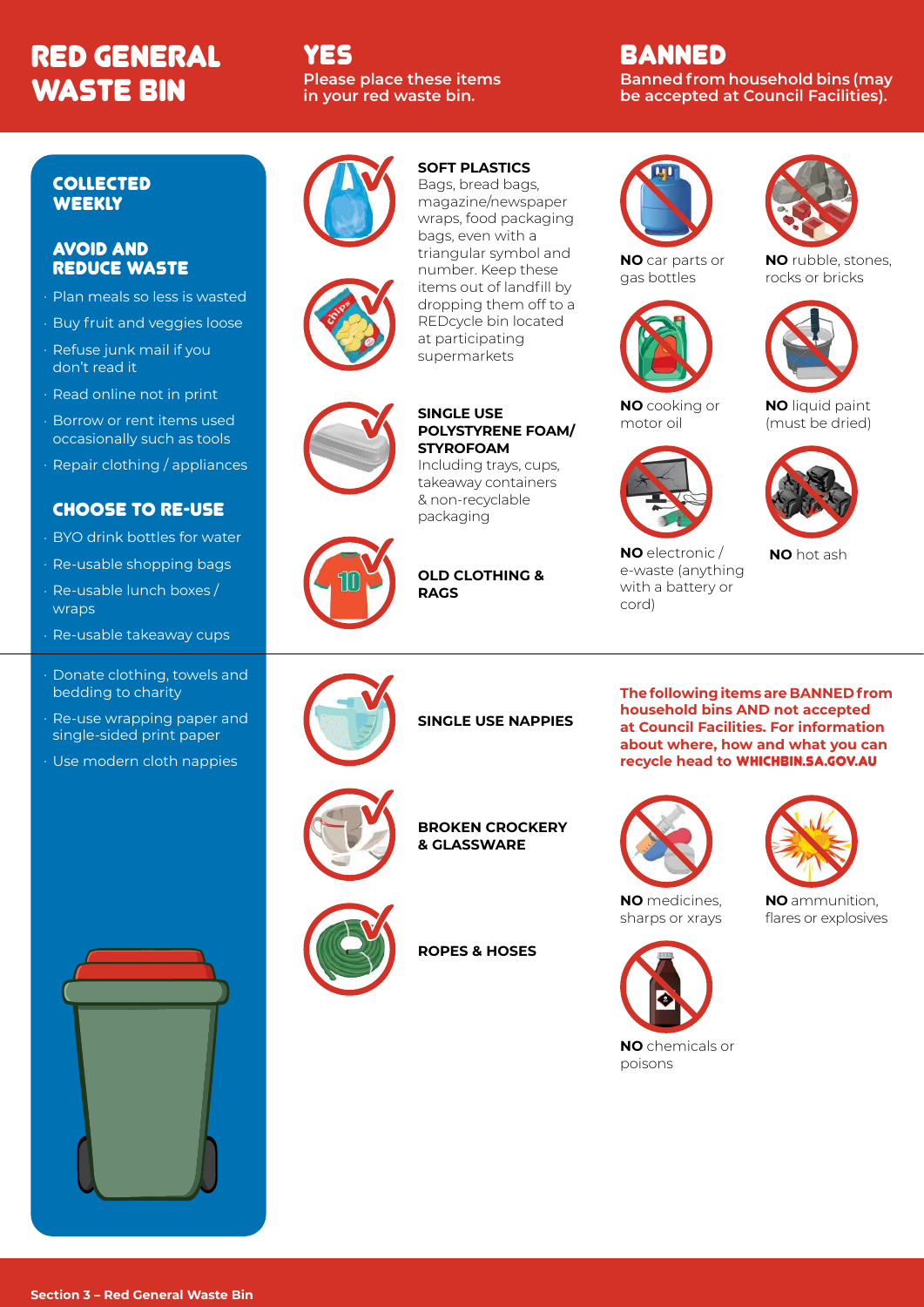## RED GENERAL WASTE BIN

### YES **Please place these items in your red waste bin.**

### BANNED **Banned from household bins (may be accepted at Council Facilities).**

#### COLLECTED **WEEKLY**

#### AVOID AND REDUCE WASTE

- Plan meals so less is wasted
- Buy fruit and veggies loose
- Refuse junk mail if you don't read it
- Read online not in print
- Borrow or rent items used occasionally such as tools
- Repair clothing / appliances

### CHOOSE TO RE-USE

- BYO drink bottles for water
- Re-usable shopping bags
- Re-usable lunch boxes / wraps
- Re-usable takeaway cups
- Donate clothing, towels and bedding to charity
- Re-use wrapping paper and single-sided print paper
- Use modern cloth nappies







**SOFT PLASTICS** 



#### **SINGLE USE POLYSTYRENE FOAM/ STYROFOAM**

Including trays, cups, takeaway containers & non-recyclable packaging

**OLD CLOTHING & RAGS**

**NO** car parts or gas bottles



motor oil

**NO** electronic / e-waste (anything with a battery or

cord)



**NO** rubble, stones, rocks or bricks



**NO** liquid paint (must be dried)



**NO** hot ash



## **SINGLE USE NAPPIES**



**BROKEN CROCKERY & GLASSWARE**



**ROPES & HOSES**

**The following items are BANNED from household bins AND not accepted at Council Facilities. For information about where, how and what you can recycle head to** WHICHBIN.SA.GOV.AU



**NO** ammunition, flares or explosives



**NO** chemicals or poisons





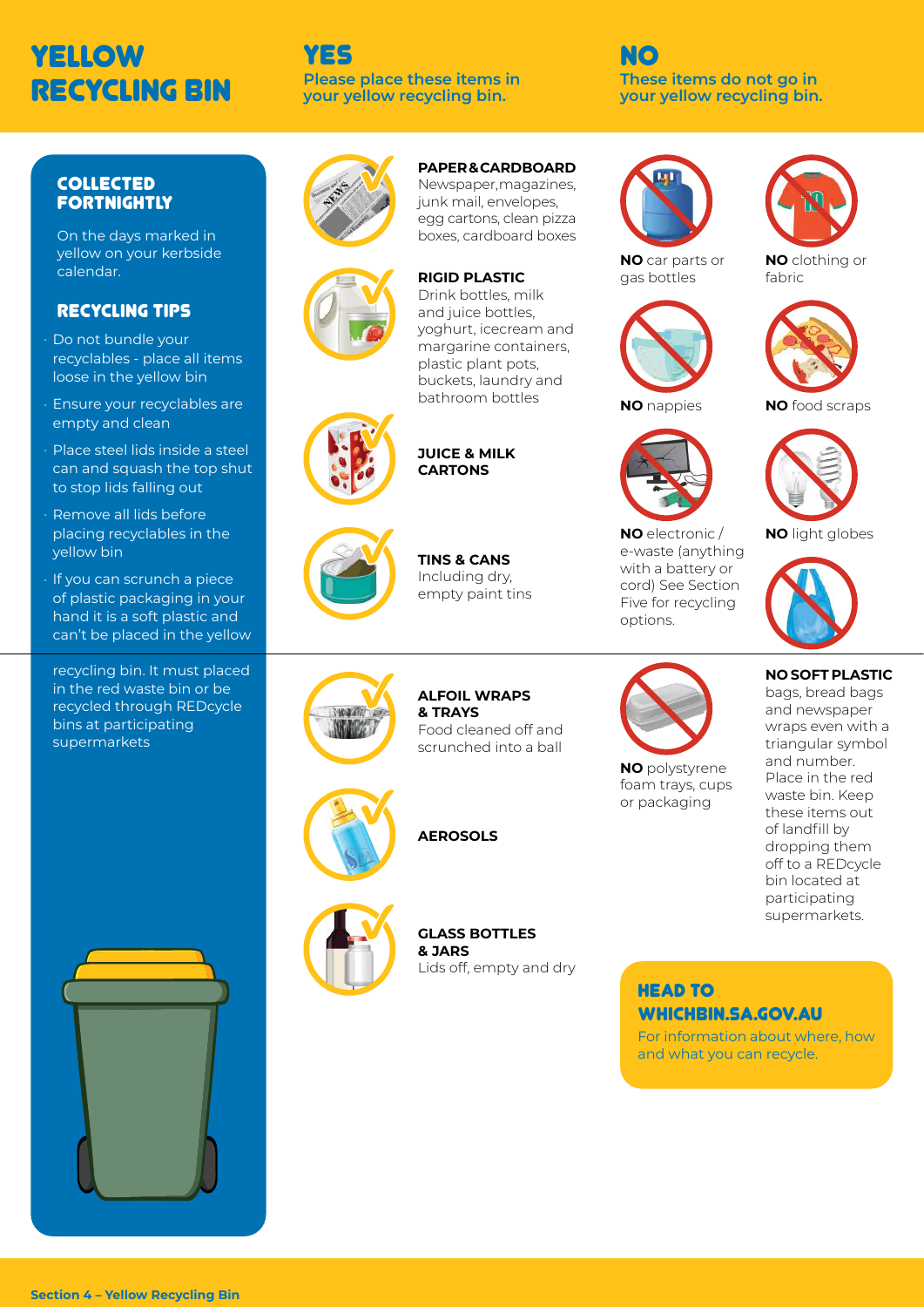## YELLOW RECYCLING BIN

#### YES **Please place these items in your yellow recycling bin.**

NO **These items do not go in your yellow recycling bin.**

#### COLLECTED **FORTNIGHTLY**

On the days marked in yellow on your kerbside calendar.

### RECYCLING TIPS

- Do not bundle your recyclables - place all items loose in the yellow bin
- Ensure your recyclables are empty and clean
- Place steel lids inside a steel can and squash the top shut to stop lids falling out
- Remove all lids before placing recyclables in the yellow bin
- If you can scrunch a piece of plastic packaging in your hand it is a soft plastic and can't be placed in the yellow

recycling bin. It must placed in the red waste bin or be recycled through REDcycle bins at participating supermarkets



**PAPER & CARDBOARD**  Newspaper, magazines, junk mail, envelopes, egg cartons, clean pizza boxes, cardboard boxes

#### **RIGID PLASTIC**

Drink bottles, milk and juice bottles, yoghurt, icecream and margarine containers, plastic plant pots, buckets, laundry and bathroom bottles





**TINS & CANS**  Including dry, empty paint tins

**JUICE & MILK CARTONS**



## **ALFOIL WRAPS**

scrunched into a ball



**GLASS BOTTLES & JARS** Lids off, empty and dry





**NO** electronic / e-waste (anything with a battery or cord) See Section Five for recycling

**NO** polystyrene foam trays, cups or packaging

options.



**NO** clothing or fabric



**NO** food scraps



**NO** light globes



#### **NO SOFT PLASTIC**

bags, bread bags and newspaper wraps even with a triangular symbol and number. Place in the red waste bin. Keep these items out of landfill by dropping them off to a REDcycle bin located at participating supermarkets.



**HEAD TO** WHICHBIN.SA.GOV.AU

For information about where, how and what you can recycle.

**AEROSOLS**

**& TRAYS** Food cleaned off and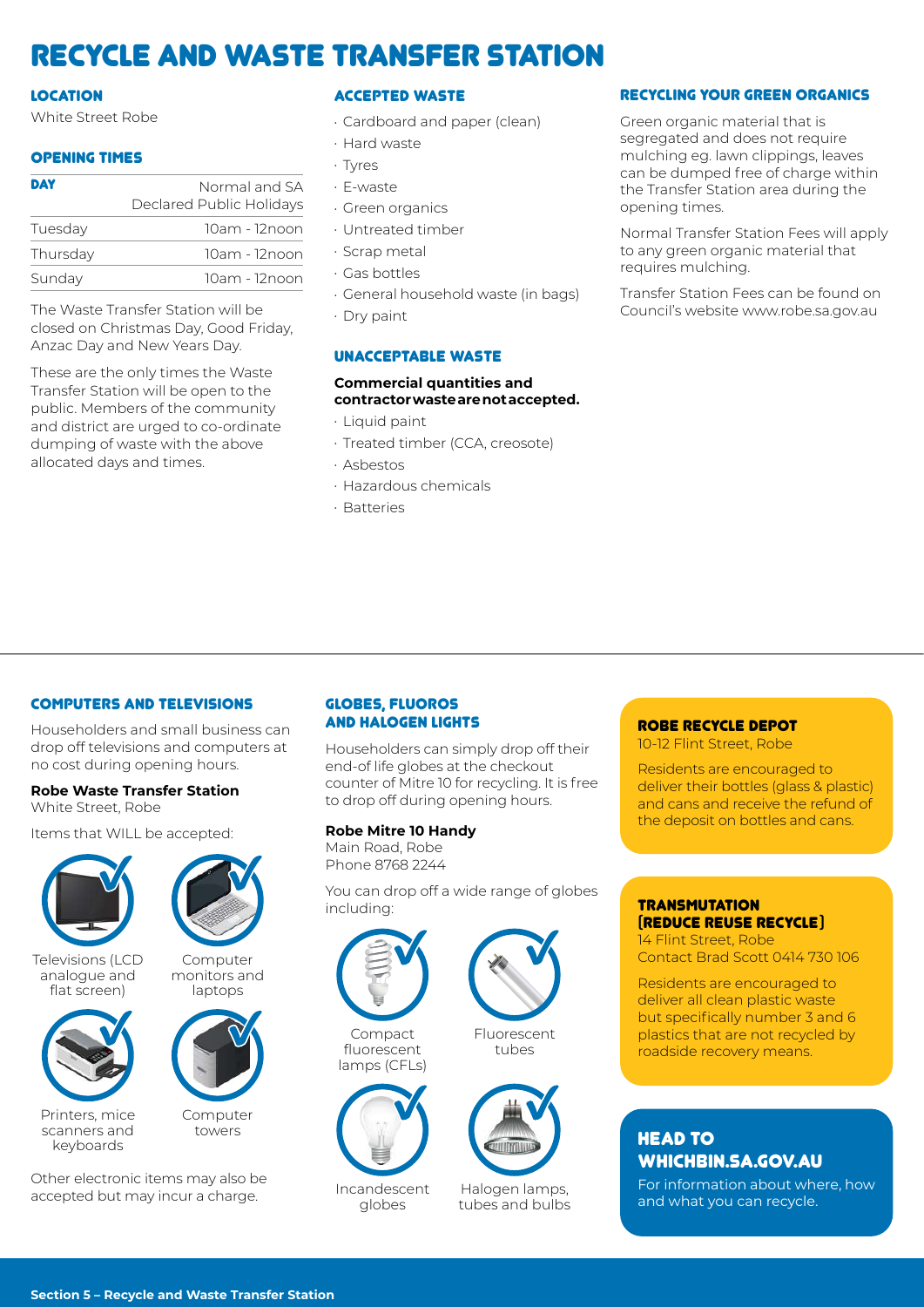## Recycle and Waste Transfer Station

#### LOCATION

White Street Robe

#### OPENING TIMES

| <b>DAY</b> | Normal and SA            |
|------------|--------------------------|
|            | Declared Public Holidays |
| Tuesday    | 10am - 12noon            |
| Thursday   | 10am - 12noon            |
| Sunday     | 10am - 12noon            |

The Waste Transfer Station will be closed on Christmas Day, Good Friday, Anzac Day and New Years Day.

These are the only times the Waste Transfer Station will be open to the public. Members of the community and district are urged to co-ordinate dumping of waste with the above allocated days and times.

#### ACCEPTED WASTE

- Cardboard and paper (clean)
- Hard waste
- Tyres
- E-waste
- Green organics
- Untreated timber
- Scrap metal
- Gas bottles
- General household waste (in bags)
- Dry paint

#### UNACCEPTABLE WASTE

#### **Commercial quantities and contractor waste are not accepted.**

- Liquid paint
- Treated timber (CCA, creosote)
- Asbestos
- Hazardous chemicals
- Batteries

#### RECYCLING YOUR GREEN ORGANICS

Green organic material that is segregated and does not require mulching eg. lawn clippings, leaves can be dumped free of charge within the Transfer Station area during the opening times.

Normal Transfer Station Fees will apply to any green organic material that requires mulching.

Transfer Station Fees can be found on Council's website www.robe.sa.gov.au

#### COMPUTERS AND TELEVISIONS

Householders and small business can drop off televisions and computers at no cost during opening hours.

#### **Robe Waste Transfer Station**  White Street, Robe

Items that WILL be accepted:



Televisions (LCD analogue and flat screen)



Computer monitors and laptops

> Computer towers



Printers, mice scanners and keyboards

Other electronic items may also be accepted but may incur a charge.

#### GLOBES, FLUOROS AND HALOGEN LIGHTS

Householders can simply drop off their end-of life globes at the checkout counter of Mitre 10 for recycling. It is free to drop off during opening hours.

#### **Robe Mitre 10 Handy**

Main Road, Robe Phone 8768 2244

You can drop off a wide range of globes including:



Compact fluorescent lamps (CFLs)



Incandescent globes



Fluorescent tubes



Halogen lamps, tubes and bulbs

#### ROBE RECYCLE DEPOT

10-12 Flint Street, Robe

Residents are encouraged to deliver their bottles (glass & plastic) and cans and receive the refund of the deposit on bottles and cans.

### **TRANSMUTATION** (REDUCE REUSE RECYCLE)

14 Flint Street, Robe Contact Brad Scott 0414 730 106

Residents are encouraged to deliver all clean plastic waste but specifically number 3 and 6 plastics that are not recycled by roadside recovery means.

### **HEAD TO** WHICHBIN.SA.GOV.AU

For information about where, how and what you can recycle.